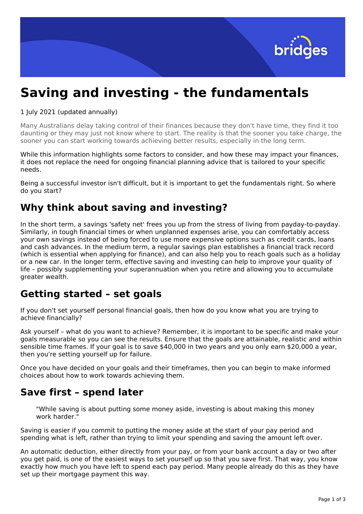

# **Saving and investing - the fundamentals**

1 July 2021 (updated annually)

Many Australians delay taking control of their finances because they don't have time, they find it too daunting or they may just not know where to start. The reality is that the sooner you take charge, the sooner you can start working towards achieving better results, especially in the long term.

While this information highlights some factors to consider, and how these may impact your finances, it does not replace the need for ongoing financial planning advice that is tailored to your specific needs.

Being a successful investor isn't difficult, but it is important to get the fundamentals right. So where do you start?

### **Why think about saving and investing?**

In the short term, a savings 'safety net' frees you up from the stress of living from payday-to-payday. Similarly, in tough financial times or when unplanned expenses arise, you can comfortably access your own savings instead of being forced to use more expensive options such as credit cards, loans and cash advances. In the medium term, a regular savings plan establishes a financial track record (which is essential when applying for finance), and can also help you to reach goals such as a holiday or a new car. In the longer term, effective saving and investing can help to improve your quality of life – possibly supplementing your superannuation when you retire and allowing you to accumulate greater wealth.

### **Getting started – set goals**

If you don't set yourself personal financial goals, then how do you know what you are trying to achieve financially?

Ask yourself – what do you want to achieve? Remember, it is important to be specific and make your goals measurable so you can see the results. Ensure that the goals are attainable, realistic and within sensible time frames. If your goal is to save \$40,000 in two years and you only earn \$20,000 a year, then you're setting yourself up for failure.

Once you have decided on your goals and their timeframes, then you can begin to make informed choices about how to work towards achieving them.

### **Save first – spend later**

"While saving is about putting some money aside, investing is about making this money work harder."

Saving is easier if you commit to putting the money aside at the start of your pay period and spending what is left, rather than trying to limit your spending and saving the amount left over.

An automatic deduction, either directly from your pay, or from your bank account a day or two after you get paid, is one of the easiest ways to set yourself up so that you save first. That way, you know exactly how much you have left to spend each pay period. Many people already do this as they have set up their mortgage payment this way.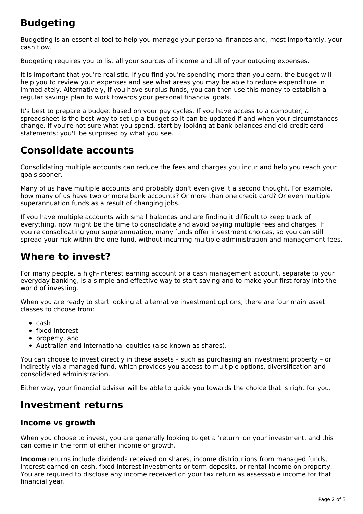## **Budgeting**

Budgeting is an essential tool to help you manage your personal finances and, most importantly, your cash flow.

Budgeting requires you to list all your sources of income and all of your outgoing expenses.

It is important that you're realistic. If you find you're spending more than you earn, the budget will help you to review your expenses and see what areas you may be able to reduce expenditure in immediately. Alternatively, if you have surplus funds, you can then use this money to establish a regular savings plan to work towards your personal financial goals.

It's best to prepare a budget based on your pay cycles. If you have access to a computer, a spreadsheet is the best way to set up a budget so it can be updated if and when your circumstances change. If you're not sure what you spend, start by looking at bank balances and old credit card statements; you'll be surprised by what you see.

### **Consolidate accounts**

Consolidating multiple accounts can reduce the fees and charges you incur and help you reach your goals sooner.

Many of us have multiple accounts and probably don't even give it a second thought. For example, how many of us have two or more bank accounts? Or more than one credit card? Or even multiple superannuation funds as a result of changing jobs.

If you have multiple accounts with small balances and are finding it difficult to keep track of everything, now might be the time to consolidate and avoid paying multiple fees and charges. If you're consolidating your superannuation, many funds offer investment choices, so you can still spread your risk within the one fund, without incurring multiple administration and management fees.

### **Where to invest?**

For many people, a high-interest earning account or a cash management account, separate to your everyday banking, is a simple and effective way to start saving and to make your first foray into the world of investing.

When you are ready to start looking at alternative investment options, there are four main asset classes to choose from:

- $\bullet$  cash
- fixed interest
- property, and
- Australian and international equities (also known as shares).

You can choose to invest directly in these assets – such as purchasing an investment property – or indirectly via a managed fund, which provides you access to multiple options, diversification and consolidated administration.

Either way, your financial adviser will be able to guide you towards the choice that is right for you.

### **Investment returns**

#### **Income vs growth**

When you choose to invest, you are generally looking to get a 'return' on your investment, and this can come in the form of either income or growth.

**Income** returns include dividends received on shares, income distributions from managed funds, interest earned on cash, fixed interest investments or term deposits, or rental income on property. You are required to disclose any income received on your tax return as assessable income for that financial year.